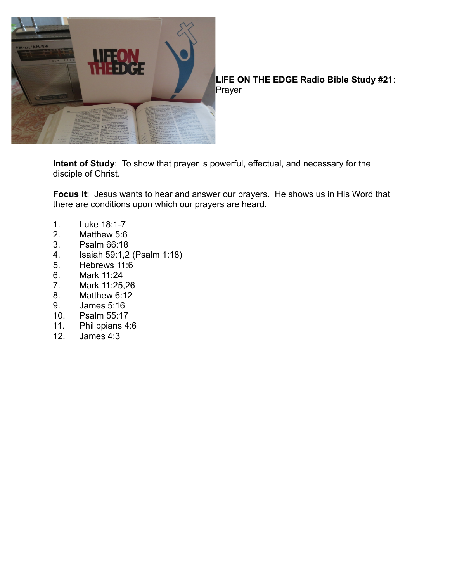

**LIFE ON THE EDGE Radio Bible Study #21**: Prayer

**Intent of Study**: To show that prayer is powerful, effectual, and necessary for the disciple of Christ.

**Focus It**: Jesus wants to hear and answer our prayers. He shows us in His Word that there are conditions upon which our prayers are heard.

- 1. Luke 18:1-7
- 2. Matthew 5:6
- 3. Psalm 66:18
- 4. Isaiah 59:1,2 (Psalm 1:18)
- 5. Hebrews 11:6
- 6. Mark 11:24
- 7. Mark 11:25,26
- 8. Matthew 6:12
- 9. James 5:16
- 10. Psalm 55:17<br>11. Philippians 4
- Philippians 4:6
- 12. James 4:3